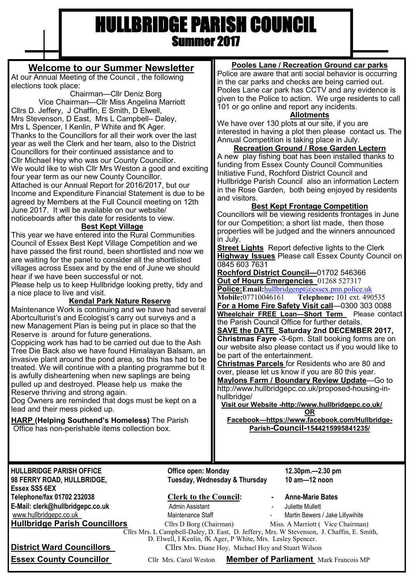# HULLBRIDGE PARISH COUNCIL Summer 2017

## **Welcome to our Summer Newsletter**

At our Annual Meeting of the Council , the following elections took place:

Chairman—Cllr Deniz Borg Vice Chairman—Cllr Miss Angelina Marriott Cllrs D. Jeffery, J Chaffin, E Smith, D Elwell, Mrs Stevenson, D East, Mrs L Campbell– Daley, Mrs L Spencer, I Kenlin, P White and fK Ager. Thanks to the Councillors for all their work over the last year as well the Clerk and her team, also to the District Councillors for their continued assistance and to Cllr Michael Hoy who was our County Councillor. We would like to wish Cllr Mrs Weston a good and exciting four year term as our new County Councillor. Attached is our Annual Report for 2016/2017, but our Income and Expenditure Financial Statement is due to be agreed by Members at the Full Council meeting on 12th June 2017. It will be available on our website/ noticeboards after this date for residents to view.

### **Best Kept Village**

This year we have entered into the Rural Communities Council of Essex Best Kept Village Competition and we have passed the first round, been shortlisted and now we are waiting for the panel to consider all the shortlisted villages across Essex and by the end of June we should hear if we have been successful or not.

Please help us to keep Hullbridge looking pretty, tidy and a nice place to live and visit.

#### **Kendal Park Nature Reserve**

Maintenance Work is continuing and we have had several Abortculturist's and Ecologist's carry out surveys and a new Management Plan is being put in place so that the Reserve is around for future generations.

Coppicing work has had to be carried out due to the Ash Tree Die Back also we have found Himalayan Balsam, an invasive plant around the pond area, so this has had to be treated. We will continue with a planting programme but it is awfully disheartening when new saplings are being pulled up and destroyed. Please help us make the Reserve thriving and strong again.

Dog Owners are reminded that dogs must be kept on a lead and their mess picked up.

**HARP (Helping Southend's Homeless)** The Parish Office has non-perishable items collection box.

### **Pooles Lane / Recreation Ground car parks**

Police are aware that anti social behavior is occurring in the car parks and checks are being carried out. Pooles Lane car park has CCTV and any evidence is given to the Police to action. We urge residents to call 101 or go online and report any incidents.

#### **Allotments**

We have over 130 plots at our site, if you are interested in having a plot then please contact us. The Annual Competition is taking place in July.

#### **Recreation Ground / Rose Garden Lectern** A new play fishing boat has been installed thanks to funding from Essex County Council Communities Initiative Fund, Rochford District Council and Hullbridge Parish Council also an information Lectern in the Rose Garden, both being enjoyed by residents and visitors.

#### **Best Kept Frontage Competition**

Councillors will be viewing residents frontages in June for our Competition; a short list made, then those properties will be judged and the winners announced in July.

**Street Lights** Report defective lights to the Clerk **Highway Issues** Please call Essex County Council on 0845 603 7631

**Rochford District Council—**01702 546366 **Out of Hours Emergencies** 01268 527317

**Police: Email:** [hullbridgenpt@essex.pnn.police.uk](mailto:hullbridgenpt@essex.pnn.police.uk)<br>Mobile: 07710046161 **Telephone:** 101 ext. 490

**Telephone:** 101 ext. 490535 **For a Home Fire Safety Visit call**—0300 303 0088 **Wheelchair FREE Loan—Short Term** Please contact the Parish Council Office for further details.

**SAVE the DATE Saturday 2nd DECEMBER 2017, Christmas Fayre -**3-6pm. Stall booking forms are on our website also please contact us if you would like to be part of the entertainment.

**Christmas Parcels** for Residents who are 80 and over, please let us know if you are 80 this year. **Maylons Farm / Boundary Review Update**—Go to http://www.hullbridgepc.co.uk/proposed-housing-inhullbridge/

**Visit our Website -http://www.hullbridgepc.co.uk/**

**OR Facebook—https://www.facebook.com/Hullbridge-Parish-Council-1544215995841235/**

**Essex SS5 6EX Telephone/fax 01702 232038 Clerk to the Council: - Anne-Marie Bates E-Mail: clerk@hullbridgepc.co.uk** Admin Assistant - Juliette Mullett www.hullbridgepc.co.uk Maintenance Staff - Martin Bewers / Jake Lillywihite **Hullbridge Parish Councillors** Cllrs D Borg (Chairman) Miss. A Marriott (Vice Chairman)

**HULLBRIDGE PARISH OFFICE Office open: Monday 12.30pm.—2.30 pm 98 FERRY ROAD, HULLBRIDGE, Tuesday, Wednesday & Thursday 10 am—12 noon**

- 
- 

Cllrs Mrs. L Campbell-Daley, D. East, D. Jeffery, Mrs. W Stevenson, J. Chaffin, E. Smith,

D. Elwell, I Kenlin, fK Ager, P White, Mrs. Lesley Spencer.

**District Ward Councillors** Cllrs Mrs. Diane Hoy, Michael Hoy and Stuart Wilson

**Essex County Councillor** Cllr Mrs. Carol Weston **Member of Parliament** Mark Francois MP